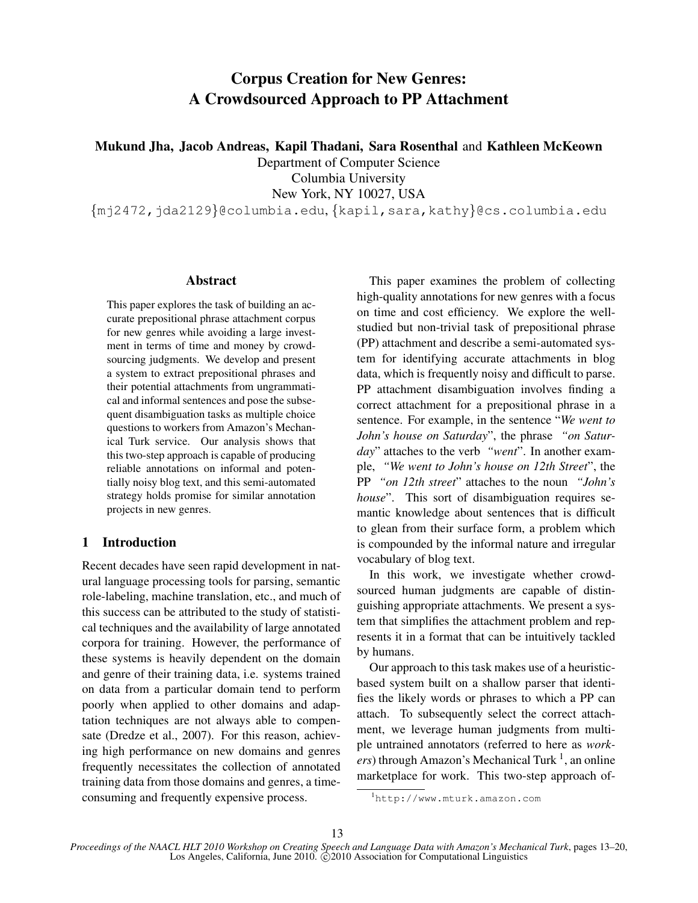# Corpus Creation for New Genres: A Crowdsourced Approach to PP Attachment

Mukund Jha, Jacob Andreas, Kapil Thadani, Sara Rosenthal and Kathleen McKeown

Department of Computer Science Columbia University

New York, NY 10027, USA

{mj2472,jda2129}@columbia.edu, {kapil,sara,kathy}@cs.columbia.edu

## Abstract

This paper explores the task of building an accurate prepositional phrase attachment corpus for new genres while avoiding a large investment in terms of time and money by crowdsourcing judgments. We develop and present a system to extract prepositional phrases and their potential attachments from ungrammatical and informal sentences and pose the subsequent disambiguation tasks as multiple choice questions to workers from Amazon's Mechanical Turk service. Our analysis shows that this two-step approach is capable of producing reliable annotations on informal and potentially noisy blog text, and this semi-automated strategy holds promise for similar annotation projects in new genres.

## 1 Introduction

Recent decades have seen rapid development in natural language processing tools for parsing, semantic role-labeling, machine translation, etc., and much of this success can be attributed to the study of statistical techniques and the availability of large annotated corpora for training. However, the performance of these systems is heavily dependent on the domain and genre of their training data, i.e. systems trained on data from a particular domain tend to perform poorly when applied to other domains and adaptation techniques are not always able to compensate (Dredze et al., 2007). For this reason, achieving high performance on new domains and genres frequently necessitates the collection of annotated training data from those domains and genres, a timeconsuming and frequently expensive process.

This paper examines the problem of collecting high-quality annotations for new genres with a focus on time and cost efficiency. We explore the wellstudied but non-trivial task of prepositional phrase (PP) attachment and describe a semi-automated system for identifying accurate attachments in blog data, which is frequently noisy and difficult to parse. PP attachment disambiguation involves finding a correct attachment for a prepositional phrase in a sentence. For example, in the sentence "*We went to John's house on Saturday*", the phrase *"on Saturday*" attaches to the verb *"went*". In another example, *"We went to John's house on 12th Street*", the PP *"on 12th street*" attaches to the noun *"John's house*". This sort of disambiguation requires semantic knowledge about sentences that is difficult to glean from their surface form, a problem which is compounded by the informal nature and irregular vocabulary of blog text.

In this work, we investigate whether crowdsourced human judgments are capable of distinguishing appropriate attachments. We present a system that simplifies the attachment problem and represents it in a format that can be intuitively tackled by humans.

Our approach to this task makes use of a heuristicbased system built on a shallow parser that identifies the likely words or phrases to which a PP can attach. To subsequently select the correct attachment, we leverage human judgments from multiple untrained annotators (referred to here as *work*ers) through Amazon's Mechanical Turk <sup>1</sup>, an online marketplace for work. This two-step approach of-

<sup>1</sup>http://www.mturk.amazon.com

*Proceedings of the NAACL HLT 2010 Workshop on Creating Speech and Language Data with Amazon's Mechanical Turk*, pages 13–20, Los Angeles, California, June 2010.  $\hat{Q}$ 2010 Association for Computational Linguistics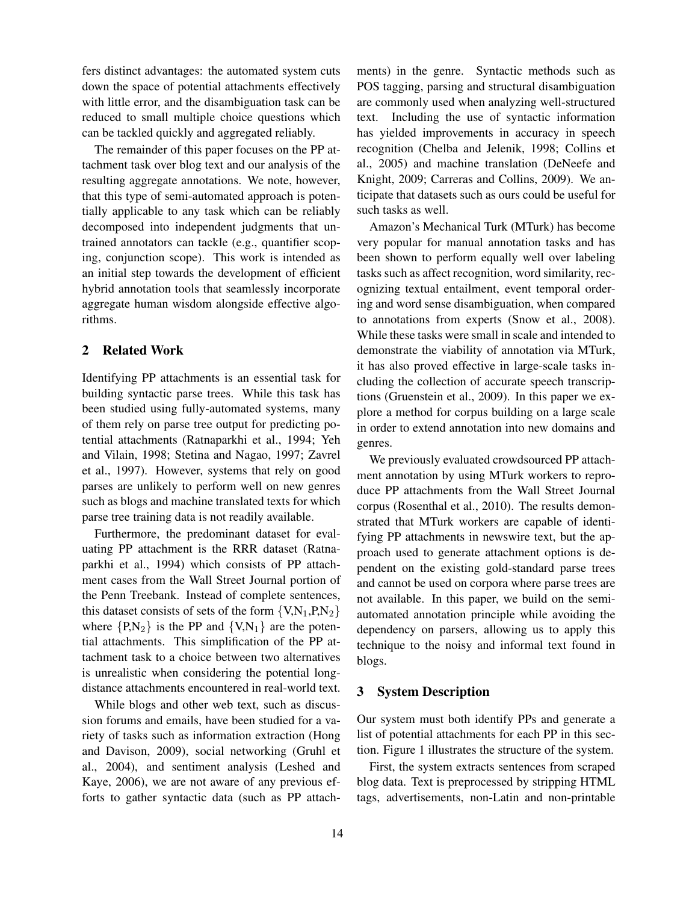fers distinct advantages: the automated system cuts down the space of potential attachments effectively with little error, and the disambiguation task can be reduced to small multiple choice questions which can be tackled quickly and aggregated reliably.

The remainder of this paper focuses on the PP attachment task over blog text and our analysis of the resulting aggregate annotations. We note, however, that this type of semi-automated approach is potentially applicable to any task which can be reliably decomposed into independent judgments that untrained annotators can tackle (e.g., quantifier scoping, conjunction scope). This work is intended as an initial step towards the development of efficient hybrid annotation tools that seamlessly incorporate aggregate human wisdom alongside effective algorithms.

## 2 Related Work

Identifying PP attachments is an essential task for building syntactic parse trees. While this task has been studied using fully-automated systems, many of them rely on parse tree output for predicting potential attachments (Ratnaparkhi et al., 1994; Yeh and Vilain, 1998; Stetina and Nagao, 1997; Zavrel et al., 1997). However, systems that rely on good parses are unlikely to perform well on new genres such as blogs and machine translated texts for which parse tree training data is not readily available.

Furthermore, the predominant dataset for evaluating PP attachment is the RRR dataset (Ratnaparkhi et al., 1994) which consists of PP attachment cases from the Wall Street Journal portion of the Penn Treebank. Instead of complete sentences, this dataset consists of sets of the form  $\{V, N_1, P, N_2\}$ where  $\{P,N_2\}$  is the PP and  $\{V,N_1\}$  are the potential attachments. This simplification of the PP attachment task to a choice between two alternatives is unrealistic when considering the potential longdistance attachments encountered in real-world text.

While blogs and other web text, such as discussion forums and emails, have been studied for a variety of tasks such as information extraction (Hong and Davison, 2009), social networking (Gruhl et al., 2004), and sentiment analysis (Leshed and Kaye, 2006), we are not aware of any previous efforts to gather syntactic data (such as PP attachments) in the genre. Syntactic methods such as POS tagging, parsing and structural disambiguation are commonly used when analyzing well-structured text. Including the use of syntactic information has yielded improvements in accuracy in speech recognition (Chelba and Jelenik, 1998; Collins et al., 2005) and machine translation (DeNeefe and Knight, 2009; Carreras and Collins, 2009). We anticipate that datasets such as ours could be useful for such tasks as well.

Amazon's Mechanical Turk (MTurk) has become very popular for manual annotation tasks and has been shown to perform equally well over labeling tasks such as affect recognition, word similarity, recognizing textual entailment, event temporal ordering and word sense disambiguation, when compared to annotations from experts (Snow et al., 2008). While these tasks were small in scale and intended to demonstrate the viability of annotation via MTurk, it has also proved effective in large-scale tasks including the collection of accurate speech transcriptions (Gruenstein et al., 2009). In this paper we explore a method for corpus building on a large scale in order to extend annotation into new domains and genres.

We previously evaluated crowdsourced PP attachment annotation by using MTurk workers to reproduce PP attachments from the Wall Street Journal corpus (Rosenthal et al., 2010). The results demonstrated that MTurk workers are capable of identifying PP attachments in newswire text, but the approach used to generate attachment options is dependent on the existing gold-standard parse trees and cannot be used on corpora where parse trees are not available. In this paper, we build on the semiautomated annotation principle while avoiding the dependency on parsers, allowing us to apply this technique to the noisy and informal text found in blogs.

### 3 System Description

Our system must both identify PPs and generate a list of potential attachments for each PP in this section. Figure 1 illustrates the structure of the system.

First, the system extracts sentences from scraped blog data. Text is preprocessed by stripping HTML tags, advertisements, non-Latin and non-printable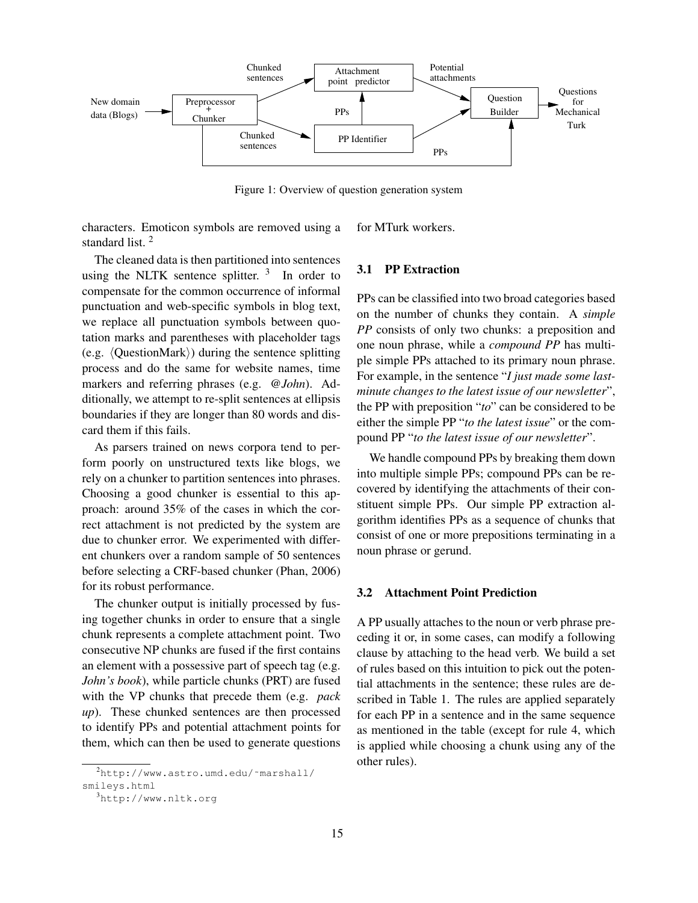

Figure 1: Overview of question generation system

characters. Emoticon symbols are removed using a standard list. <sup>2</sup> for MTurk workers.

The cleaned data is then partitioned into sentences using the NLTK sentence splitter.  $3\text{ }$  In order to compensate for the common occurrence of informal punctuation and web-specific symbols in blog text, we replace all punctuation symbols between quotation marks and parentheses with placeholder tags (e.g.  $\langle$ QuestionMark $\rangle$ ) during the sentence splitting process and do the same for website names, time markers and referring phrases (e.g. *@John*). Additionally, we attempt to re-split sentences at ellipsis boundaries if they are longer than 80 words and discard them if this fails.

As parsers trained on news corpora tend to perform poorly on unstructured texts like blogs, we rely on a chunker to partition sentences into phrases. Choosing a good chunker is essential to this approach: around 35% of the cases in which the correct attachment is not predicted by the system are due to chunker error. We experimented with different chunkers over a random sample of 50 sentences before selecting a CRF-based chunker (Phan, 2006) for its robust performance.

The chunker output is initially processed by fusing together chunks in order to ensure that a single chunk represents a complete attachment point. Two consecutive NP chunks are fused if the first contains an element with a possessive part of speech tag (e.g. *John's book*), while particle chunks (PRT) are fused with the VP chunks that precede them (e.g. *pack up*). These chunked sentences are then processed to identify PPs and potential attachment points for them, which can then be used to generate questions

## 3.1 PP Extraction

PPs can be classified into two broad categories based on the number of chunks they contain. A *simple PP* consists of only two chunks: a preposition and one noun phrase, while a *compound PP* has multiple simple PPs attached to its primary noun phrase. For example, in the sentence "*I just made some lastminute changes to the latest issue of our newsletter*", the PP with preposition "*to*" can be considered to be either the simple PP "*to the latest issue*" or the compound PP "*to the latest issue of our newsletter*".

We handle compound PPs by breaking them down into multiple simple PPs; compound PPs can be recovered by identifying the attachments of their constituent simple PPs. Our simple PP extraction algorithm identifies PPs as a sequence of chunks that consist of one or more prepositions terminating in a noun phrase or gerund.

#### 3.2 Attachment Point Prediction

A PP usually attaches to the noun or verb phrase preceding it or, in some cases, can modify a following clause by attaching to the head verb. We build a set of rules based on this intuition to pick out the potential attachments in the sentence; these rules are described in Table 1. The rules are applied separately for each PP in a sentence and in the same sequence as mentioned in the table (except for rule 4, which is applied while choosing a chunk using any of the other rules).

<sup>2</sup>http://www.astro.umd.edu/˜marshall/

smileys.html

 $3$ http://www.nltk.org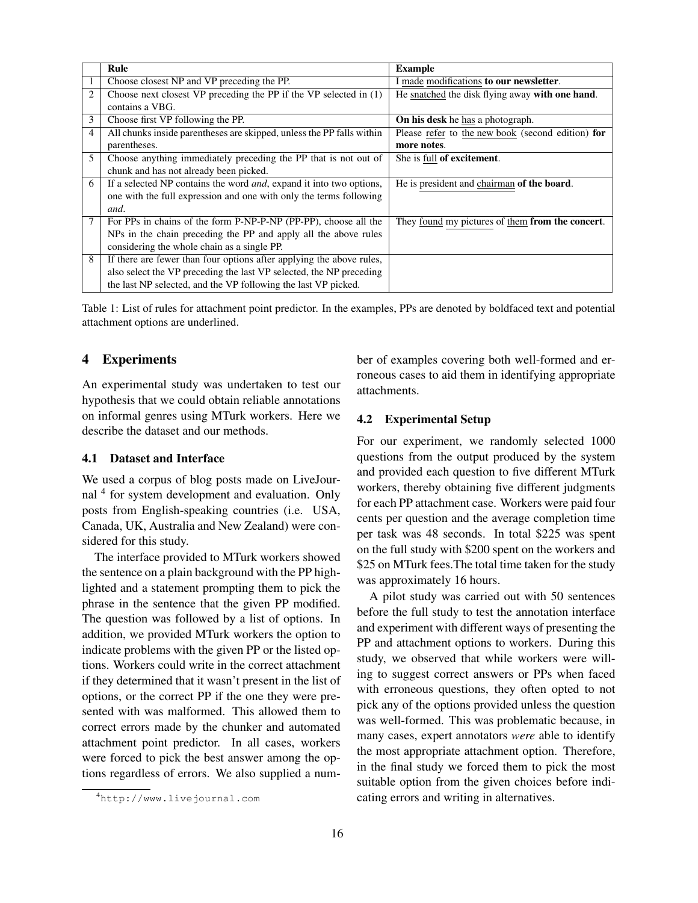|                | Rule                                                                        | <b>Example</b>                                    |
|----------------|-----------------------------------------------------------------------------|---------------------------------------------------|
|                | Choose closest NP and VP preceding the PP.                                  | I made modifications to our newsletter.           |
| $\overline{2}$ | Choose next closest VP preceding the PP if the VP selected in $(1)$         | He snatched the disk flying away with one hand.   |
|                | contains a VBG.                                                             |                                                   |
| 3              | Choose first VP following the PP.                                           | <b>On his desk</b> he has a photograph.           |
| $\overline{4}$ | All chunks inside parentheses are skipped, unless the PP falls within       | Please refer to the new book (second edition) for |
|                | parentheses.                                                                | more notes.                                       |
| 5              | Choose anything immediately preceding the PP that is not out of             | She is full of excitement.                        |
|                | chunk and has not already been picked.                                      |                                                   |
| 6              | If a selected NP contains the word <i>and</i> , expand it into two options, | He is president and chairman of the board.        |
|                | one with the full expression and one with only the terms following          |                                                   |
|                | and.                                                                        |                                                   |
| 7              | For PPs in chains of the form P-NP-P-NP (PP-PP), choose all the             | They found my pictures of them from the concert.  |
|                | NPs in the chain preceding the PP and apply all the above rules             |                                                   |
|                | considering the whole chain as a single PP.                                 |                                                   |
| 8              | If there are fewer than four options after applying the above rules,        |                                                   |
|                | also select the VP preceding the last VP selected, the NP preceding         |                                                   |
|                | the last NP selected, and the VP following the last VP picked.              |                                                   |

Table 1: List of rules for attachment point predictor. In the examples, PPs are denoted by boldfaced text and potential attachment options are underlined.

### 4 Experiments

An experimental study was undertaken to test our hypothesis that we could obtain reliable annotations on informal genres using MTurk workers. Here we describe the dataset and our methods.

#### 4.1 Dataset and Interface

We used a corpus of blog posts made on LiveJournal <sup>4</sup> for system development and evaluation. Only posts from English-speaking countries (i.e. USA, Canada, UK, Australia and New Zealand) were considered for this study.

The interface provided to MTurk workers showed the sentence on a plain background with the PP highlighted and a statement prompting them to pick the phrase in the sentence that the given PP modified. The question was followed by a list of options. In addition, we provided MTurk workers the option to indicate problems with the given PP or the listed options. Workers could write in the correct attachment if they determined that it wasn't present in the list of options, or the correct PP if the one they were presented with was malformed. This allowed them to correct errors made by the chunker and automated attachment point predictor. In all cases, workers were forced to pick the best answer among the options regardless of errors. We also supplied a number of examples covering both well-formed and erroneous cases to aid them in identifying appropriate attachments.

## 4.2 Experimental Setup

For our experiment, we randomly selected 1000 questions from the output produced by the system and provided each question to five different MTurk workers, thereby obtaining five different judgments for each PP attachment case. Workers were paid four cents per question and the average completion time per task was 48 seconds. In total \$225 was spent on the full study with \$200 spent on the workers and \$25 on MTurk fees.The total time taken for the study was approximately 16 hours.

A pilot study was carried out with 50 sentences before the full study to test the annotation interface and experiment with different ways of presenting the PP and attachment options to workers. During this study, we observed that while workers were willing to suggest correct answers or PPs when faced with erroneous questions, they often opted to not pick any of the options provided unless the question was well-formed. This was problematic because, in many cases, expert annotators *were* able to identify the most appropriate attachment option. Therefore, in the final study we forced them to pick the most suitable option from the given choices before indicating errors and writing in alternatives.

<sup>4</sup>http://www.livejournal.com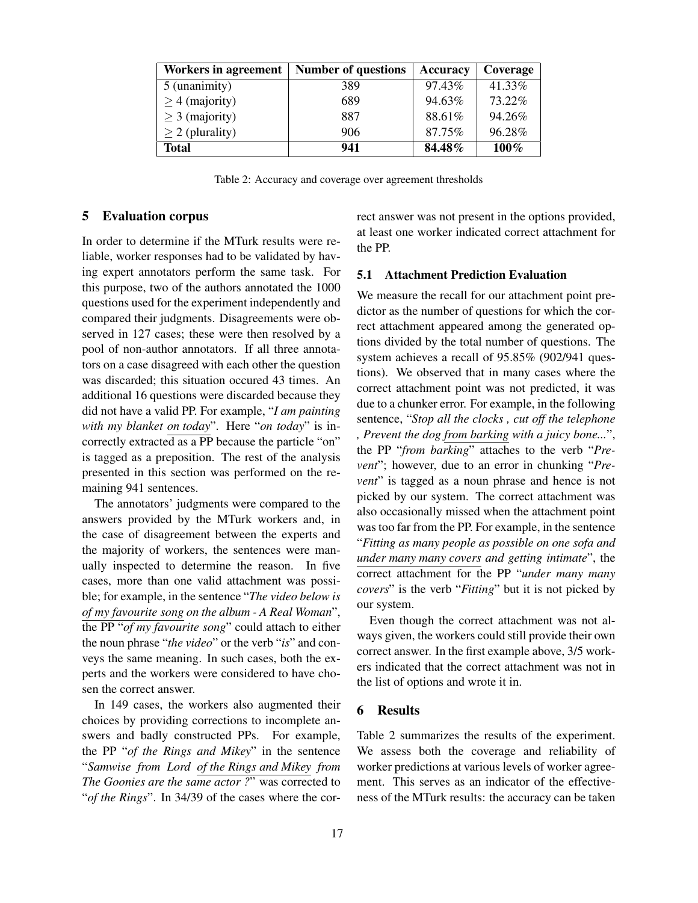| <b>Workers in agreement</b> | <b>Number of questions</b> | Accuracy  | Coverage |
|-----------------------------|----------------------------|-----------|----------|
| 5 (unanimity)               | 389                        | $97.43\%$ | 41.33%   |
| $\geq$ 4 (majority)         | 689                        | 94.63%    | 73.22%   |
| $\geq$ 3 (majority)         | 887                        | 88.61%    | 94.26%   |
| $\geq$ 2 (plurality)        | 906                        | 87.75%    | 96.28%   |
| <b>Total</b>                | 941                        | 84.48%    | 100%     |

Table 2: Accuracy and coverage over agreement thresholds

#### 5 Evaluation corpus

In order to determine if the MTurk results were reliable, worker responses had to be validated by having expert annotators perform the same task. For this purpose, two of the authors annotated the 1000 questions used for the experiment independently and compared their judgments. Disagreements were observed in 127 cases; these were then resolved by a pool of non-author annotators. If all three annotators on a case disagreed with each other the question was discarded; this situation occured 43 times. An additional 16 questions were discarded because they did not have a valid PP. For example, "*I am painting with my blanket on today*". Here "*on today*" is incorrectly extracted as a PP because the particle "on" is tagged as a preposition. The rest of the analysis presented in this section was performed on the remaining 941 sentences.

The annotators' judgments were compared to the answers provided by the MTurk workers and, in the case of disagreement between the experts and the majority of workers, the sentences were manually inspected to determine the reason. In five cases, more than one valid attachment was possible; for example, in the sentence "*The video below is of my favourite song on the album - A Real Woman*", the PP "*of my favourite song*" could attach to either the noun phrase "*the video*" or the verb "*is*" and conveys the same meaning. In such cases, both the experts and the workers were considered to have chosen the correct answer.

In 149 cases, the workers also augmented their choices by providing corrections to incomplete answers and badly constructed PPs. For example, the PP "*of the Rings and Mikey*" in the sentence "*Samwise from Lord of the Rings and Mikey from The Goonies are the same actor ?*" was corrected to "*of the Rings*". In 34/39 of the cases where the correct answer was not present in the options provided, at least one worker indicated correct attachment for the PP.

#### 5.1 Attachment Prediction Evaluation

We measure the recall for our attachment point predictor as the number of questions for which the correct attachment appeared among the generated options divided by the total number of questions. The system achieves a recall of 95.85% (902/941 questions). We observed that in many cases where the correct attachment point was not predicted, it was due to a chunker error. For example, in the following sentence, "*Stop all the clocks , cut off the telephone , Prevent the dog from barking with a juicy bone...*", the PP "*from barking*" attaches to the verb "*Prevent*"; however, due to an error in chunking "*Prevent*" is tagged as a noun phrase and hence is not picked by our system. The correct attachment was also occasionally missed when the attachment point was too far from the PP. For example, in the sentence "*Fitting as many people as possible on one sofa and under many many covers and getting intimate*", the correct attachment for the PP "*under many many covers*" is the verb "*Fitting*" but it is not picked by our system.

Even though the correct attachment was not always given, the workers could still provide their own correct answer. In the first example above, 3/5 workers indicated that the correct attachment was not in the list of options and wrote it in.

#### 6 Results

Table 2 summarizes the results of the experiment. We assess both the coverage and reliability of worker predictions at various levels of worker agreement. This serves as an indicator of the effectiveness of the MTurk results: the accuracy can be taken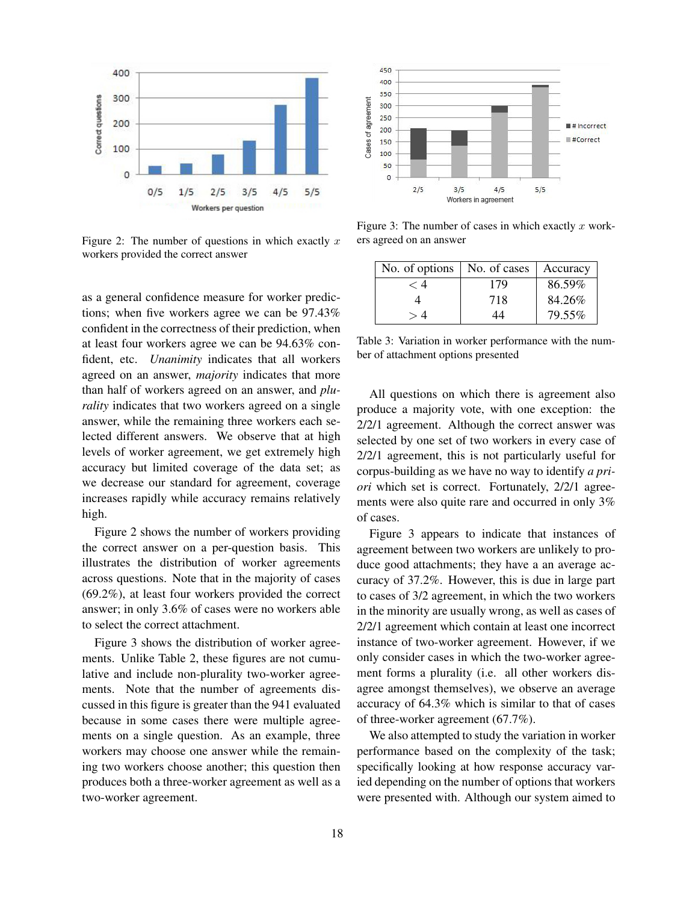

Figure 2: The number of questions in which exactly  $x$ workers provided the correct answer

as a general confidence measure for worker predictions; when five workers agree we can be 97.43% confident in the correctness of their prediction, when at least four workers agree we can be 94.63% confident, etc. *Unanimity* indicates that all workers agreed on an answer, *majority* indicates that more than half of workers agreed on an answer, and *plurality* indicates that two workers agreed on a single answer, while the remaining three workers each selected different answers. We observe that at high levels of worker agreement, we get extremely high accuracy but limited coverage of the data set; as we decrease our standard for agreement, coverage increases rapidly while accuracy remains relatively high.

Figure 2 shows the number of workers providing the correct answer on a per-question basis. This illustrates the distribution of worker agreements across questions. Note that in the majority of cases (69.2%), at least four workers provided the correct answer; in only 3.6% of cases were no workers able to select the correct attachment.

Figure 3 shows the distribution of worker agreements. Unlike Table 2, these figures are not cumulative and include non-plurality two-worker agreements. Note that the number of agreements discussed in this figure is greater than the 941 evaluated because in some cases there were multiple agreements on a single question. As an example, three workers may choose one answer while the remaining two workers choose another; this question then produces both a three-worker agreement as well as a two-worker agreement.



Figure 3: The number of cases in which exactly  $x$  workers agreed on an answer

| No. of options | No. of cases | Accuracy |
|----------------|--------------|----------|
|                | 179          | 86.59%   |
|                | 718          | 84.26%   |
|                | 44           | 79.55%   |

Table 3: Variation in worker performance with the number of attachment options presented

All questions on which there is agreement also produce a majority vote, with one exception: the 2/2/1 agreement. Although the correct answer was selected by one set of two workers in every case of 2/2/1 agreement, this is not particularly useful for corpus-building as we have no way to identify *a priori* which set is correct. Fortunately, 2/2/1 agreements were also quite rare and occurred in only 3% of cases.

Figure 3 appears to indicate that instances of agreement between two workers are unlikely to produce good attachments; they have a an average accuracy of 37.2%. However, this is due in large part to cases of 3/2 agreement, in which the two workers in the minority are usually wrong, as well as cases of 2/2/1 agreement which contain at least one incorrect instance of two-worker agreement. However, if we only consider cases in which the two-worker agreement forms a plurality (i.e. all other workers disagree amongst themselves), we observe an average accuracy of 64.3% which is similar to that of cases of three-worker agreement (67.7%).

We also attempted to study the variation in worker performance based on the complexity of the task; specifically looking at how response accuracy varied depending on the number of options that workers were presented with. Although our system aimed to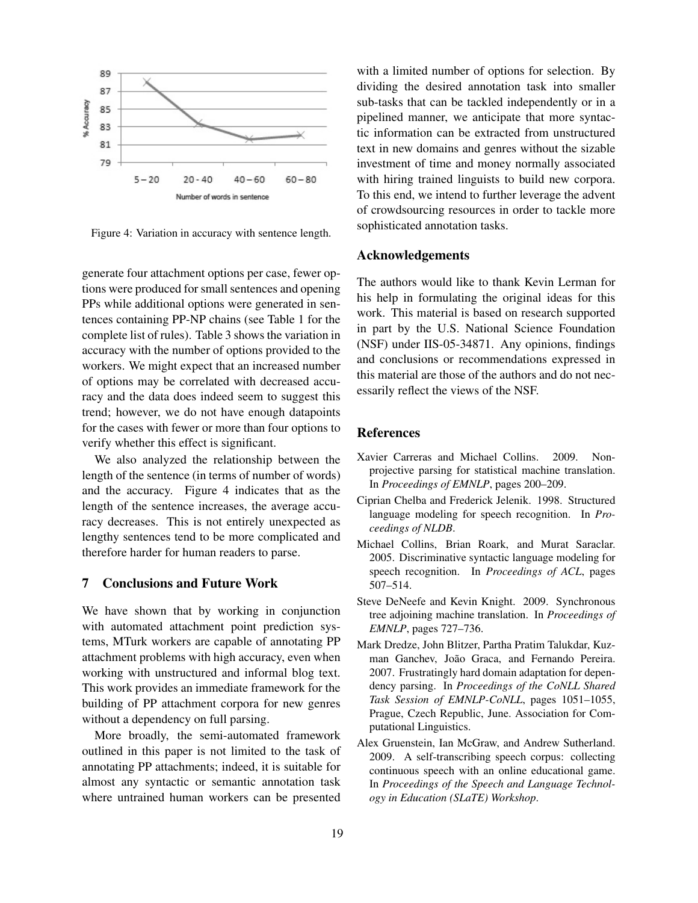

Figure 4: Variation in accuracy with sentence length.

generate four attachment options per case, fewer options were produced for small sentences and opening PPs while additional options were generated in sentences containing PP-NP chains (see Table 1 for the complete list of rules). Table 3 shows the variation in accuracy with the number of options provided to the workers. We might expect that an increased number of options may be correlated with decreased accuracy and the data does indeed seem to suggest this trend; however, we do not have enough datapoints for the cases with fewer or more than four options to verify whether this effect is significant.

We also analyzed the relationship between the length of the sentence (in terms of number of words) and the accuracy. Figure 4 indicates that as the length of the sentence increases, the average accuracy decreases. This is not entirely unexpected as lengthy sentences tend to be more complicated and therefore harder for human readers to parse.

## 7 Conclusions and Future Work

We have shown that by working in conjunction with automated attachment point prediction systems, MTurk workers are capable of annotating PP attachment problems with high accuracy, even when working with unstructured and informal blog text. This work provides an immediate framework for the building of PP attachment corpora for new genres without a dependency on full parsing.

More broadly, the semi-automated framework outlined in this paper is not limited to the task of annotating PP attachments; indeed, it is suitable for almost any syntactic or semantic annotation task where untrained human workers can be presented

with a limited number of options for selection. By dividing the desired annotation task into smaller sub-tasks that can be tackled independently or in a pipelined manner, we anticipate that more syntactic information can be extracted from unstructured text in new domains and genres without the sizable investment of time and money normally associated with hiring trained linguists to build new corpora. To this end, we intend to further leverage the advent of crowdsourcing resources in order to tackle more sophisticated annotation tasks.

## Acknowledgements

The authors would like to thank Kevin Lerman for his help in formulating the original ideas for this work. This material is based on research supported in part by the U.S. National Science Foundation (NSF) under IIS-05-34871. Any opinions, findings and conclusions or recommendations expressed in this material are those of the authors and do not necessarily reflect the views of the NSF.

#### References

- Xavier Carreras and Michael Collins. 2009. Nonprojective parsing for statistical machine translation. In *Proceedings of EMNLP*, pages 200–209.
- Ciprian Chelba and Frederick Jelenik. 1998. Structured language modeling for speech recognition. In *Proceedings of NLDB*.
- Michael Collins, Brian Roark, and Murat Saraclar. 2005. Discriminative syntactic language modeling for speech recognition. In *Proceedings of ACL*, pages 507–514.
- Steve DeNeefe and Kevin Knight. 2009. Synchronous tree adjoining machine translation. In *Proceedings of EMNLP*, pages 727–736.
- Mark Dredze, John Blitzer, Partha Pratim Talukdar, Kuzman Ganchev, João Graca, and Fernando Pereira. 2007. Frustratingly hard domain adaptation for dependency parsing. In *Proceedings of the CoNLL Shared Task Session of EMNLP-CoNLL*, pages 1051–1055, Prague, Czech Republic, June. Association for Computational Linguistics.
- Alex Gruenstein, Ian McGraw, and Andrew Sutherland. 2009. A self-transcribing speech corpus: collecting continuous speech with an online educational game. In *Proceedings of the Speech and Language Technology in Education (SLaTE) Workshop*.